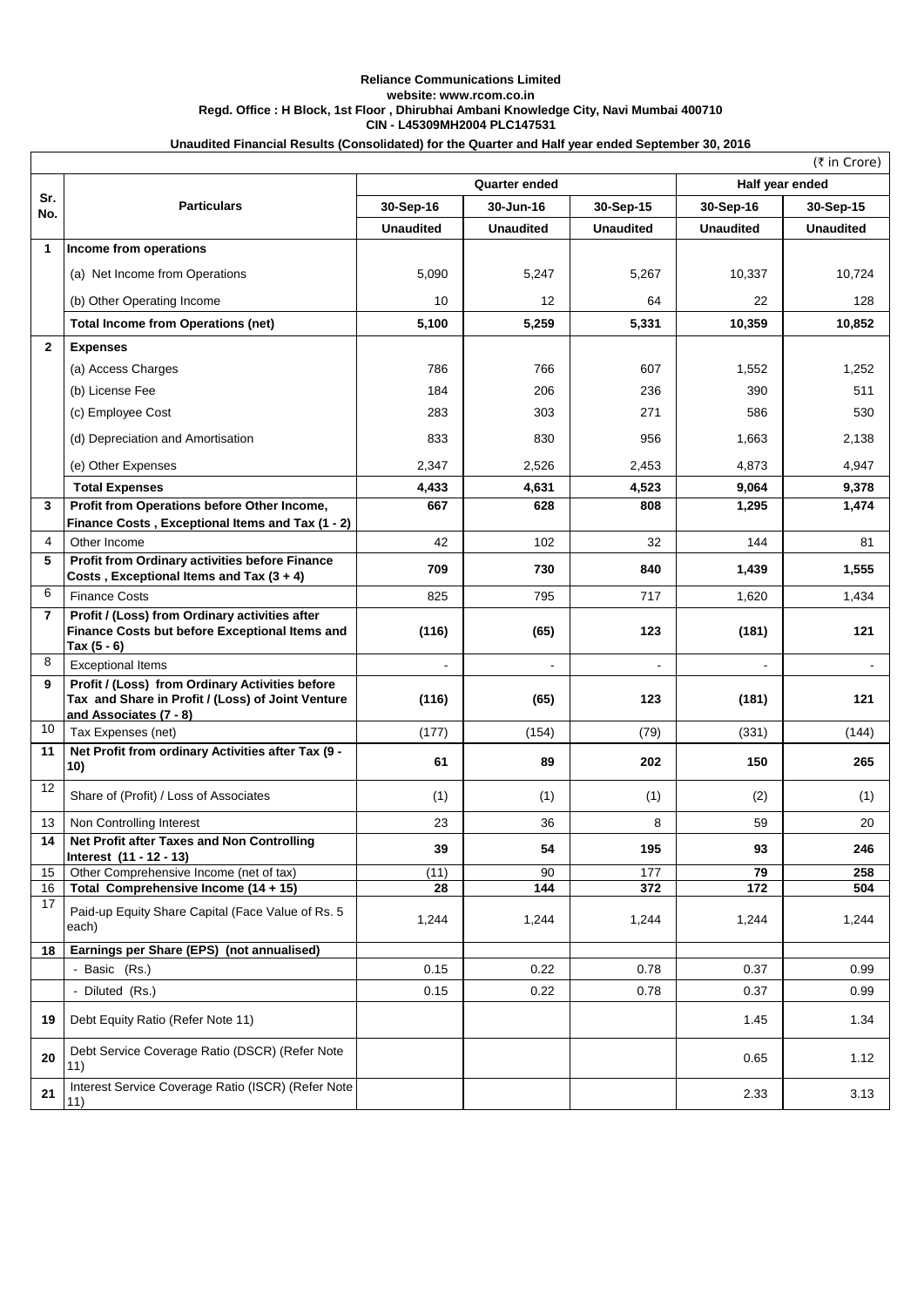## **Reliance Communications Limited website: www.rcom.co.in Regd. Office : H Block, 1st Floor , Dhirubhai Ambani Knowledge City, Navi Mumbai 400710 CIN - L45309MH2004 PLC147531**

## **Unaudited Financial Results (Consolidated) for the Quarter and Half year ended September 30, 2016**

|                | (₹ in Crore)                                                                                                                   |                  |                  |                  |                  |                  |  |
|----------------|--------------------------------------------------------------------------------------------------------------------------------|------------------|------------------|------------------|------------------|------------------|--|
|                |                                                                                                                                | Quarter ended    |                  |                  | Half year ended  |                  |  |
| Sr.<br>No.     | <b>Particulars</b>                                                                                                             | 30-Sep-16        | 30-Jun-16        | 30-Sep-15        | 30-Sep-16        | 30-Sep-15        |  |
|                |                                                                                                                                | <b>Unaudited</b> | <b>Unaudited</b> | <b>Unaudited</b> | <b>Unaudited</b> | <b>Unaudited</b> |  |
| 1              | Income from operations                                                                                                         |                  |                  |                  |                  |                  |  |
|                | (a) Net Income from Operations                                                                                                 | 5,090            | 5,247            | 5,267            | 10,337           | 10,724           |  |
|                | (b) Other Operating Income                                                                                                     | 10               | 12               | 64               | 22               | 128              |  |
|                | <b>Total Income from Operations (net)</b>                                                                                      | 5,100            | 5,259            | 5,331            | 10,359           | 10,852           |  |
| $\overline{2}$ | <b>Expenses</b>                                                                                                                |                  |                  |                  |                  |                  |  |
|                | (a) Access Charges                                                                                                             | 786              | 766              | 607              | 1,552            | 1,252            |  |
|                | (b) License Fee                                                                                                                | 184              | 206              | 236              | 390              | 511              |  |
|                | (c) Employee Cost                                                                                                              | 283              | 303              | 271              | 586              | 530              |  |
|                |                                                                                                                                | 833              | 830              | 956              |                  | 2,138            |  |
|                | (d) Depreciation and Amortisation                                                                                              |                  |                  |                  | 1,663            |                  |  |
|                | (e) Other Expenses                                                                                                             | 2,347            | 2,526            | 2,453            | 4,873            | 4,947            |  |
|                | <b>Total Expenses</b>                                                                                                          | 4,433            | 4,631            | 4,523            | 9,064            | 9,378            |  |
| 3              | Profit from Operations before Other Income,<br>Finance Costs, Exceptional Items and Tax (1 - 2)                                | 667              | 628              | 808              | 1,295            | 1,474            |  |
| 4              | Other Income                                                                                                                   | 42               | 102              | 32               | 144              | 81               |  |
| 5              | Profit from Ordinary activities before Finance<br>Costs, Exceptional Items and Tax $(3 + 4)$                                   | 709              | 730              | 840              | 1,439            | 1,555            |  |
| 6              | <b>Finance Costs</b>                                                                                                           | 825              | 795              | 717              | 1,620            | 1,434            |  |
| 7              | Profit / (Loss) from Ordinary activities after                                                                                 |                  |                  |                  |                  |                  |  |
|                | Finance Costs but before Exceptional Items and<br>Tax $(5 - 6)$                                                                | (116)            | (65)             | 123              | (181)            | 121              |  |
| 8              | <b>Exceptional Items</b>                                                                                                       |                  |                  |                  |                  |                  |  |
| 9              | Profit / (Loss) from Ordinary Activities before<br>Tax and Share in Profit / (Loss) of Joint Venture<br>and Associates (7 - 8) | (116)            | (65)             | 123              | (181)            | 121              |  |
| 10             | Tax Expenses (net)                                                                                                             | (177)            | (154)            | (79)             | (331)            | (144)            |  |
| 11             | Net Profit from ordinary Activities after Tax (9 -<br>10)                                                                      | 61               | 89               | 202              | 150              | 265              |  |
| 12             | Share of (Profit) / Loss of Associates                                                                                         | (1)              | (1)              | (1)              | (2)              | (1)              |  |
| 13             | Non Controlling Interest                                                                                                       | 23               | 36               | 8                | 59               | 20               |  |
| 14             | Net Profit after Taxes and Non Controlling<br>Interest (11 - 12 - 13)                                                          | 39               | 54               | 195              | 93               | 246              |  |
| 15             | Other Comprehensive Income (net of tax)                                                                                        | (11)             | 90               | 177              | 79               | 258              |  |
| 16<br>17       | Total Comprehensive Income (14 + 15)                                                                                           | 28               | 144              | 372              | 172              | 504              |  |
|                | Paid-up Equity Share Capital (Face Value of Rs. 5<br>each)                                                                     | 1,244            | 1,244            | 1,244            | 1,244            | 1,244            |  |
| 18             | Earnings per Share (EPS) (not annualised)                                                                                      |                  |                  |                  |                  |                  |  |
|                | - Basic (Rs.)                                                                                                                  | 0.15             | 0.22             | 0.78             | 0.37             | 0.99             |  |
|                | - Diluted (Rs.)                                                                                                                | 0.15             | 0.22             | 0.78             | 0.37             | 0.99             |  |
| 19             | Debt Equity Ratio (Refer Note 11)                                                                                              |                  |                  |                  | 1.45             | 1.34             |  |
| 20             | Debt Service Coverage Ratio (DSCR) (Refer Note<br>11)                                                                          |                  |                  |                  | 0.65             | 1.12             |  |
| 21             | Interest Service Coverage Ratio (ISCR) (Refer Note<br>11)                                                                      |                  |                  |                  | 2.33             | 3.13             |  |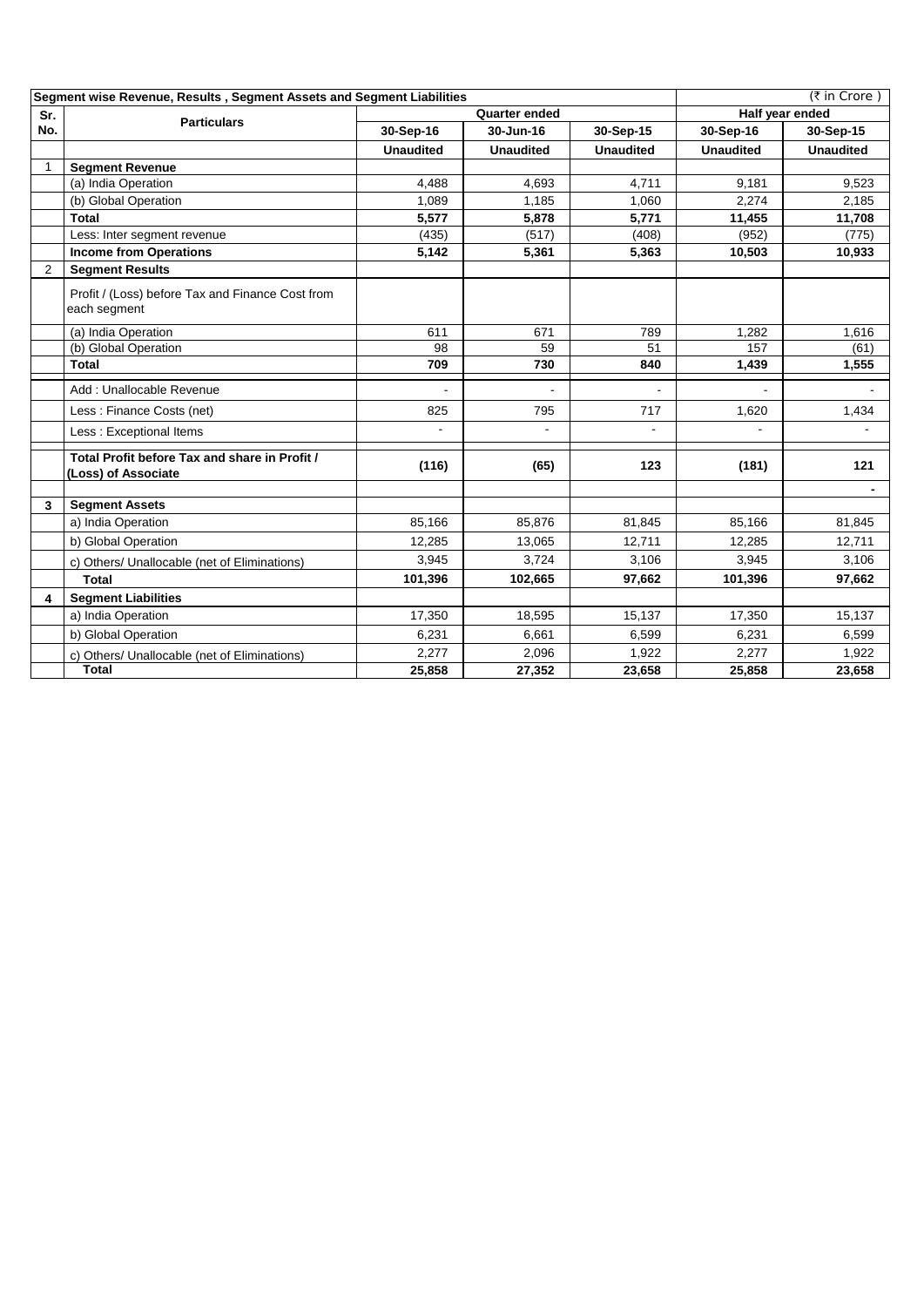|             | Segment wise Revenue, Results, Segment Assets and Segment Liabilities |                      |                  |                  |                  | (₹ in Crore)     |
|-------------|-----------------------------------------------------------------------|----------------------|------------------|------------------|------------------|------------------|
| Sr.         | <b>Particulars</b>                                                    | <b>Quarter ended</b> |                  |                  | Half year ended  |                  |
| No.         |                                                                       | 30-Sep-16            | 30-Jun-16        | 30-Sep-15        | 30-Sep-16        | 30-Sep-15        |
|             |                                                                       | <b>Unaudited</b>     | <b>Unaudited</b> | <b>Unaudited</b> | <b>Unaudited</b> | <b>Unaudited</b> |
| $\mathbf 1$ | <b>Segment Revenue</b>                                                |                      |                  |                  |                  |                  |
|             | (a) India Operation                                                   | 4,488                | 4,693            | 4,711            | 9,181            | 9,523            |
|             | (b) Global Operation                                                  | 1,089                | 1,185            | 1,060            | 2,274            | 2,185            |
|             | <b>Total</b>                                                          | 5,577                | 5,878            | 5,771            | 11,455           | 11,708           |
|             | Less: Inter segment revenue                                           | (435)                | (517)            | (408)            | (952)            | (775)            |
|             | <b>Income from Operations</b>                                         | 5,142                | 5,361            | 5,363            | 10,503           | 10,933           |
| 2           | <b>Segment Results</b>                                                |                      |                  |                  |                  |                  |
|             | Profit / (Loss) before Tax and Finance Cost from<br>each segment      |                      |                  |                  |                  |                  |
|             | (a) India Operation                                                   | 611                  | 671              | 789              | 1,282            | 1,616            |
|             | (b) Global Operation                                                  | 98                   | 59               | 51               | 157              | (61)             |
|             | <b>Total</b>                                                          | 709                  | 730              | 840              | 1,439            | 1,555            |
|             | Add: Unallocable Revenue                                              |                      |                  |                  |                  |                  |
|             | Less: Finance Costs (net)                                             | 825                  | 795              | 717              | 1,620            | 1,434            |
|             | Less : Exceptional Items                                              |                      | $\blacksquare$   | $\overline{a}$   | $\blacksquare$   |                  |
|             | Total Profit before Tax and share in Profit /<br>(Loss) of Associate  | (116)                | (65)             | 123              | (181)            | 121              |
| 3           | <b>Segment Assets</b>                                                 |                      |                  |                  |                  | $\blacksquare$   |
|             | a) India Operation                                                    | 85,166               | 85,876           | 81,845           | 85,166           | 81,845           |
|             | b) Global Operation                                                   | 12,285               | 13,065           | 12,711           | 12,285           | 12,711           |
|             | c) Others/ Unallocable (net of Eliminations)                          | 3.945                | 3.724            | 3,106            | 3,945            | 3,106            |
|             | <b>Total</b>                                                          | 101,396              | 102,665          | 97,662           | 101,396          | 97,662           |
| 4           | <b>Segment Liabilities</b>                                            |                      |                  |                  |                  |                  |
|             | a) India Operation                                                    | 17,350               | 18,595           | 15,137           | 17,350           | 15,137           |
|             | b) Global Operation                                                   | 6,231                | 6,661            | 6,599            | 6,231            | 6,599            |
|             | c) Others/ Unallocable (net of Eliminations)                          | 2,277                | 2,096            | 1,922            | 2,277            | 1,922            |
|             | <b>Total</b>                                                          | 25,858               | 27,352           | 23,658           | 25,858           | 23,658           |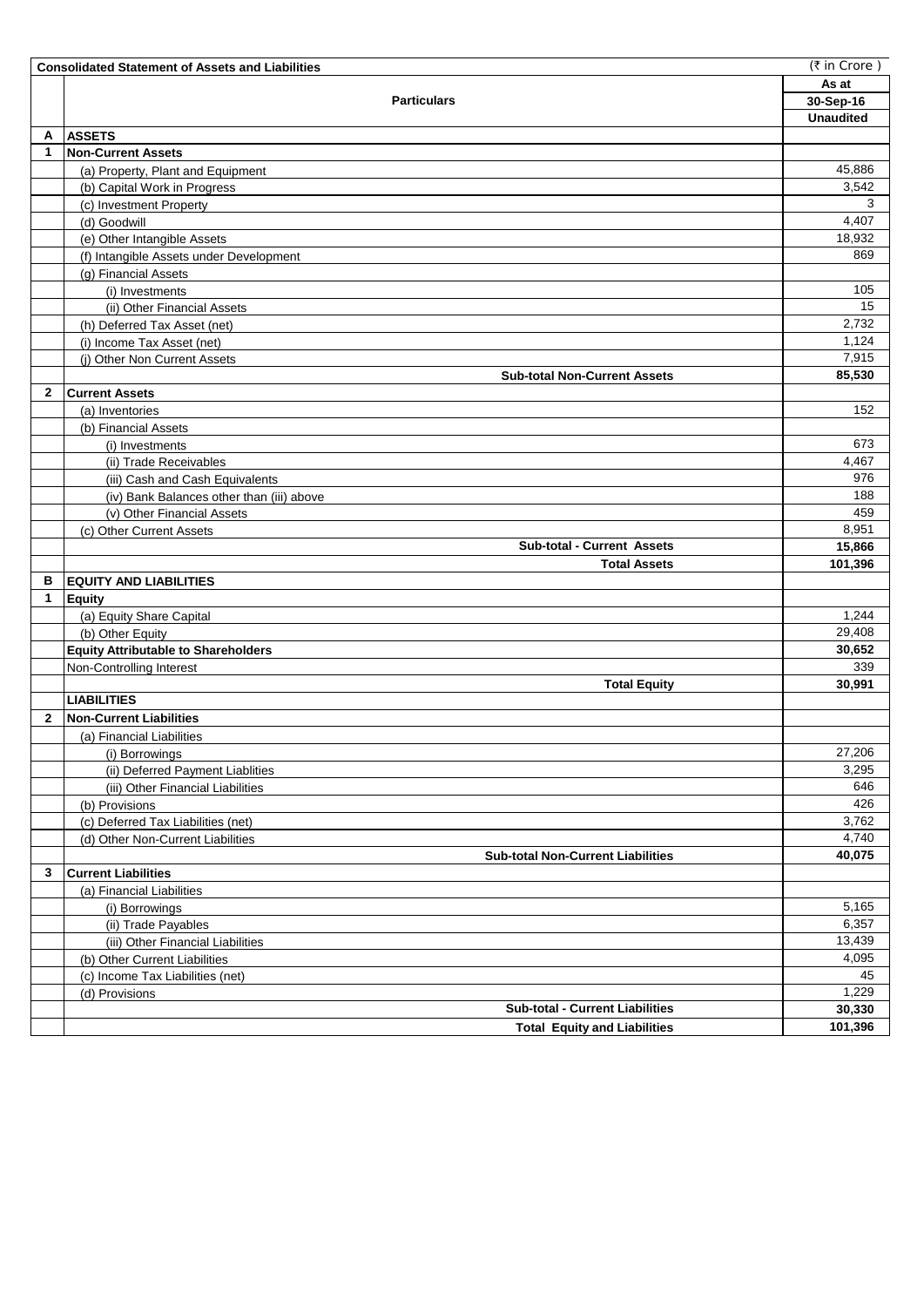|              | <b>Consolidated Statement of Assets and Liabilities</b> | (₹ in Crore)     |
|--------------|---------------------------------------------------------|------------------|
|              |                                                         | As at            |
|              | <b>Particulars</b>                                      | 30-Sep-16        |
|              |                                                         | <b>Unaudited</b> |
| A            | <b>ASSETS</b>                                           |                  |
| 1            | <b>Non-Current Assets</b>                               |                  |
|              | (a) Property, Plant and Equipment                       | 45,886           |
|              | (b) Capital Work in Progress                            | 3,542            |
|              | (c) Investment Property                                 | 3                |
|              | (d) Goodwill                                            | 4,407            |
|              | (e) Other Intangible Assets                             | 18,932           |
|              | (f) Intangible Assets under Development                 | 869              |
|              | (g) Financial Assets                                    |                  |
|              | (i) Investments                                         | 105              |
|              | (ii) Other Financial Assets                             | 15               |
|              | (h) Deferred Tax Asset (net)                            | 2,732            |
|              | (i) Income Tax Asset (net)                              | 1,124            |
|              | (i) Other Non Current Assets                            | 7,915            |
|              | <b>Sub-total Non-Current Assets</b>                     | 85,530           |
| 2            | <b>Current Assets</b>                                   |                  |
|              | (a) Inventories                                         | 152              |
|              | (b) Financial Assets                                    |                  |
|              | (i) Investments                                         | 673              |
|              | (ii) Trade Receivables                                  | 4,467            |
|              | (iii) Cash and Cash Equivalents                         | 976              |
|              | (iv) Bank Balances other than (iii) above               | 188              |
|              | (v) Other Financial Assets                              | 459              |
|              | (c) Other Current Assets                                | 8,951            |
|              | Sub-total - Current Assets                              | 15,866           |
|              | <b>Total Assets</b>                                     | 101,396          |
| в            | <b>EQUITY AND LIABILITIES</b>                           |                  |
| 1            | <b>Equity</b>                                           |                  |
|              | (a) Equity Share Capital                                | 1,244            |
|              | (b) Other Equity                                        | 29,408           |
|              | <b>Equity Attributable to Shareholders</b>              | 30,652           |
|              | Non-Controlling Interest                                | 339              |
|              | <b>Total Equity</b>                                     | 30,991           |
|              | <b>LIABILITIES</b>                                      |                  |
| $\mathbf{2}$ | <b>Non-Current Liabilities</b>                          |                  |
|              | (a) Financial Liabilities                               |                  |
|              | (i) Borrowings                                          | 27,206           |
|              |                                                         | 3,295            |
|              | (ii) Deferred Payment Liablities                        | 646              |
|              | (iii) Other Financial Liabilities                       | 426              |
|              | (b) Provisions                                          | 3,762            |
|              | (c) Deferred Tax Liabilities (net)                      | 4,740            |
|              | (d) Other Non-Current Liabilities                       |                  |
|              | <b>Sub-total Non-Current Liabilities</b>                | 40,075           |
| 3            | <b>Current Liabilities</b>                              |                  |
|              | (a) Financial Liabilities                               |                  |
|              | (i) Borrowings                                          | 5,165            |
|              | (ii) Trade Payables                                     | 6,357            |
|              | (iii) Other Financial Liabilities                       | 13,439           |
|              | (b) Other Current Liabilities                           | 4,095            |
|              | (c) Income Tax Liabilities (net)                        | 45               |
|              | (d) Provisions                                          | 1,229            |
|              | <b>Sub-total - Current Liabilities</b>                  | 30,330           |
|              | <b>Total Equity and Liabilities</b>                     | 101,396          |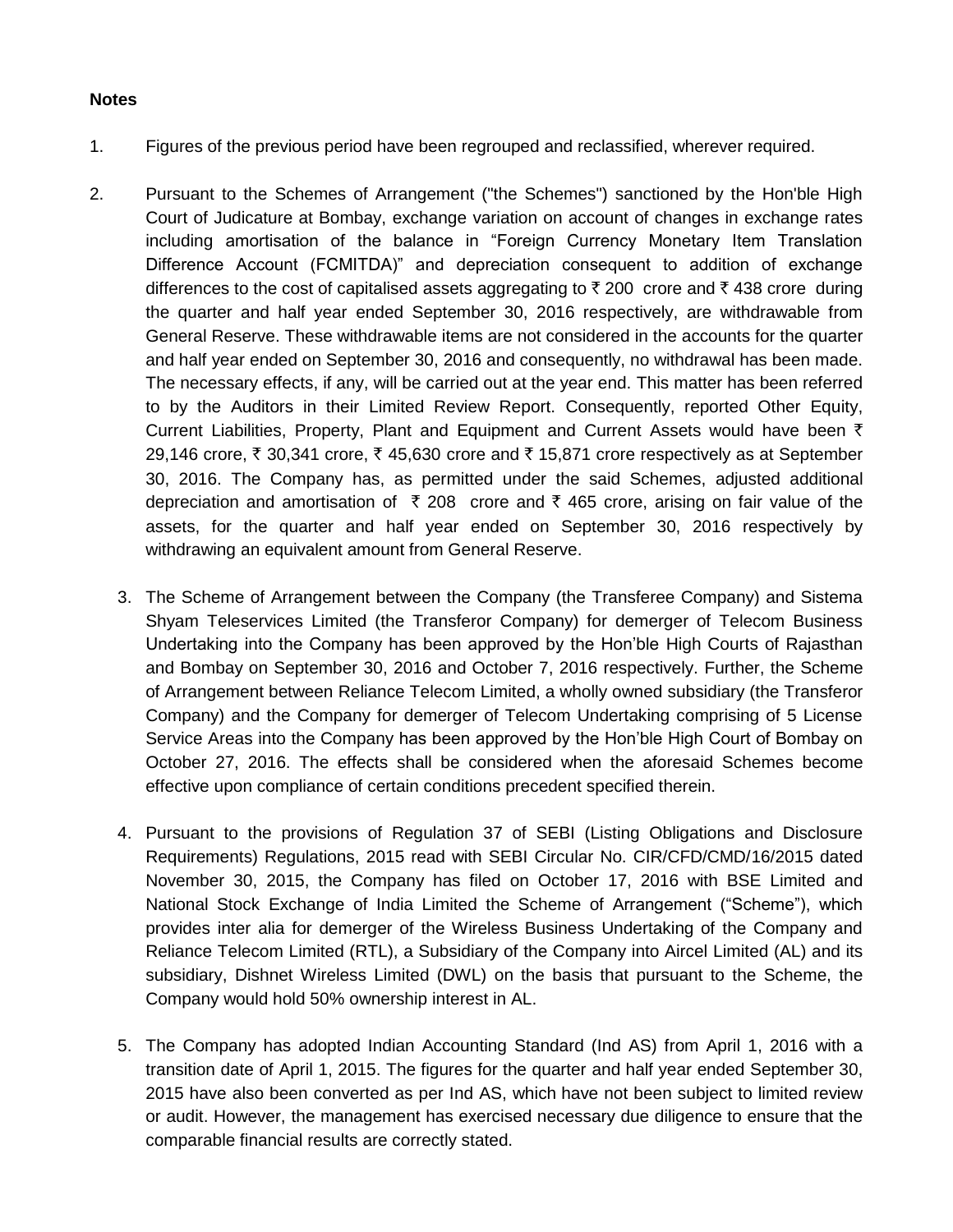## **Notes**

- 1. Figures of the previous period have been regrouped and reclassified, wherever required.
- 2. Pursuant to the Schemes of Arrangement ("the Schemes") sanctioned by the Hon'ble High Court of Judicature at Bombay, exchange variation on account of changes in exchange rates including amortisation of the balance in "Foreign Currency Monetary Item Translation Difference Account (FCMITDA)" and depreciation consequent to addition of exchange differences to the cost of capitalised assets aggregating to  $\bar{\tau}$  200 crore and  $\bar{\tau}$  438 crore during the quarter and half year ended September 30, 2016 respectively, are withdrawable from General Reserve. These withdrawable items are not considered in the accounts for the quarter and half year ended on September 30, 2016 and consequently, no withdrawal has been made. The necessary effects, if any, will be carried out at the year end. This matter has been referred to by the Auditors in their Limited Review Report. Consequently, reported Other Equity, Current Liabilities, Property, Plant and Equipment and Current Assets would have been  $\bar{\tau}$ 29,146 crore, ₹ 30,341 crore, ₹ 45,630 crore and ₹ 15,871 crore respectively as at September 30, 2016. The Company has, as permitted under the said Schemes, adjusted additional depreciation and amortisation of  $\bar{\tau}$  208 crore and  $\bar{\tau}$  465 crore, arising on fair value of the assets, for the quarter and half year ended on September 30, 2016 respectively by withdrawing an equivalent amount from General Reserve.
	- 3. The Scheme of Arrangement between the Company (the Transferee Company) and Sistema Shyam Teleservices Limited (the Transferor Company) for demerger of Telecom Business Undertaking into the Company has been approved by the Hon'ble High Courts of Rajasthan and Bombay on September 30, 2016 and October 7, 2016 respectively. Further, the Scheme of Arrangement between Reliance Telecom Limited, a wholly owned subsidiary (the Transferor Company) and the Company for demerger of Telecom Undertaking comprising of 5 License Service Areas into the Company has been approved by the Hon'ble High Court of Bombay on October 27, 2016. The effects shall be considered when the aforesaid Schemes become effective upon compliance of certain conditions precedent specified therein.
	- 4. Pursuant to the provisions of Regulation 37 of SEBI (Listing Obligations and Disclosure Requirements) Regulations, 2015 read with SEBI Circular No. CIR/CFD/CMD/16/2015 dated November 30, 2015, the Company has filed on October 17, 2016 with BSE Limited and National Stock Exchange of India Limited the Scheme of Arrangement ("Scheme"), which provides inter alia for demerger of the Wireless Business Undertaking of the Company and Reliance Telecom Limited (RTL), a Subsidiary of the Company into Aircel Limited (AL) and its subsidiary, Dishnet Wireless Limited (DWL) on the basis that pursuant to the Scheme, the Company would hold 50% ownership interest in AL.
	- 5. The Company has adopted Indian Accounting Standard (Ind AS) from April 1, 2016 with a transition date of April 1, 2015. The figures for the quarter and half year ended September 30, 2015 have also been converted as per Ind AS, which have not been subject to limited review or audit. However, the management has exercised necessary due diligence to ensure that the comparable financial results are correctly stated.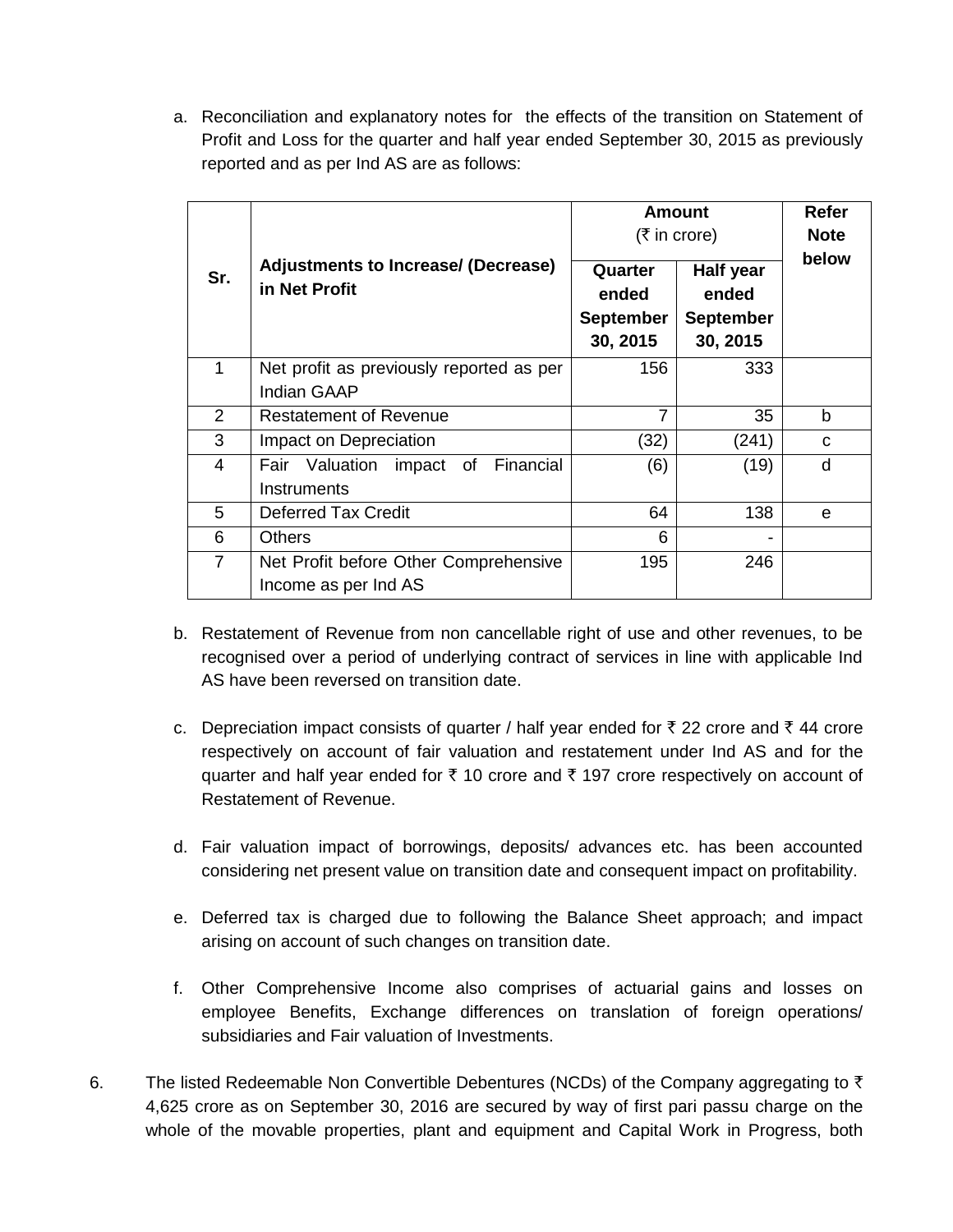a. Reconciliation and explanatory notes for the effects of the transition on Statement of Profit and Loss for the quarter and half year ended September 30, 2015 as previously reported and as per Ind AS are as follows:

|     |                                                                | <b>Amount</b><br>$(5 \text{ in } \text{core})$   | Refer<br><b>Note</b>                                      |       |
|-----|----------------------------------------------------------------|--------------------------------------------------|-----------------------------------------------------------|-------|
| Sr. | <b>Adjustments to Increase/ (Decrease)</b><br>in Net Profit    | Quarter<br>ended<br><b>September</b><br>30, 2015 | <b>Half year</b><br>ended<br><b>September</b><br>30, 2015 | below |
| 1   | Net profit as previously reported as per<br><b>Indian GAAP</b> | 156                                              | 333                                                       |       |
| 2   | <b>Restatement of Revenue</b>                                  | 7                                                | 35                                                        | b     |
| 3   | Impact on Depreciation                                         | (32)                                             | (241)                                                     | C     |
| 4   | Financial<br>Valuation<br>impact of<br>Fair<br>Instruments     | (6)                                              | (19)                                                      | d     |
| 5   | <b>Deferred Tax Credit</b>                                     | 64                                               | 138                                                       | e     |
| 6   | <b>Others</b>                                                  | 6                                                |                                                           |       |
| 7   | Net Profit before Other Comprehensive<br>Income as per Ind AS  | 195                                              | 246                                                       |       |

- b. Restatement of Revenue from non cancellable right of use and other revenues, to be recognised over a period of underlying contract of services in line with applicable Ind AS have been reversed on transition date.
- c. Depreciation impact consists of quarter / half year ended for  $\bar{\tau}$  22 crore and  $\bar{\tau}$  44 crore respectively on account of fair valuation and restatement under Ind AS and for the quarter and half year ended for  $\bar{\tau}$  10 crore and  $\bar{\tau}$  197 crore respectively on account of Restatement of Revenue.
- d. Fair valuation impact of borrowings, deposits/ advances etc. has been accounted considering net present value on transition date and consequent impact on profitability.
- e. Deferred tax is charged due to following the Balance Sheet approach; and impact arising on account of such changes on transition date.
- f. Other Comprehensive Income also comprises of actuarial gains and losses on employee Benefits, Exchange differences on translation of foreign operations/ subsidiaries and Fair valuation of Investments.
- 6. The listed Redeemable Non Convertible Debentures (NCDs) of the Company aggregating to  $\bar{\tau}$ 4,625 crore as on September 30, 2016 are secured by way of first pari passu charge on the whole of the movable properties, plant and equipment and Capital Work in Progress, both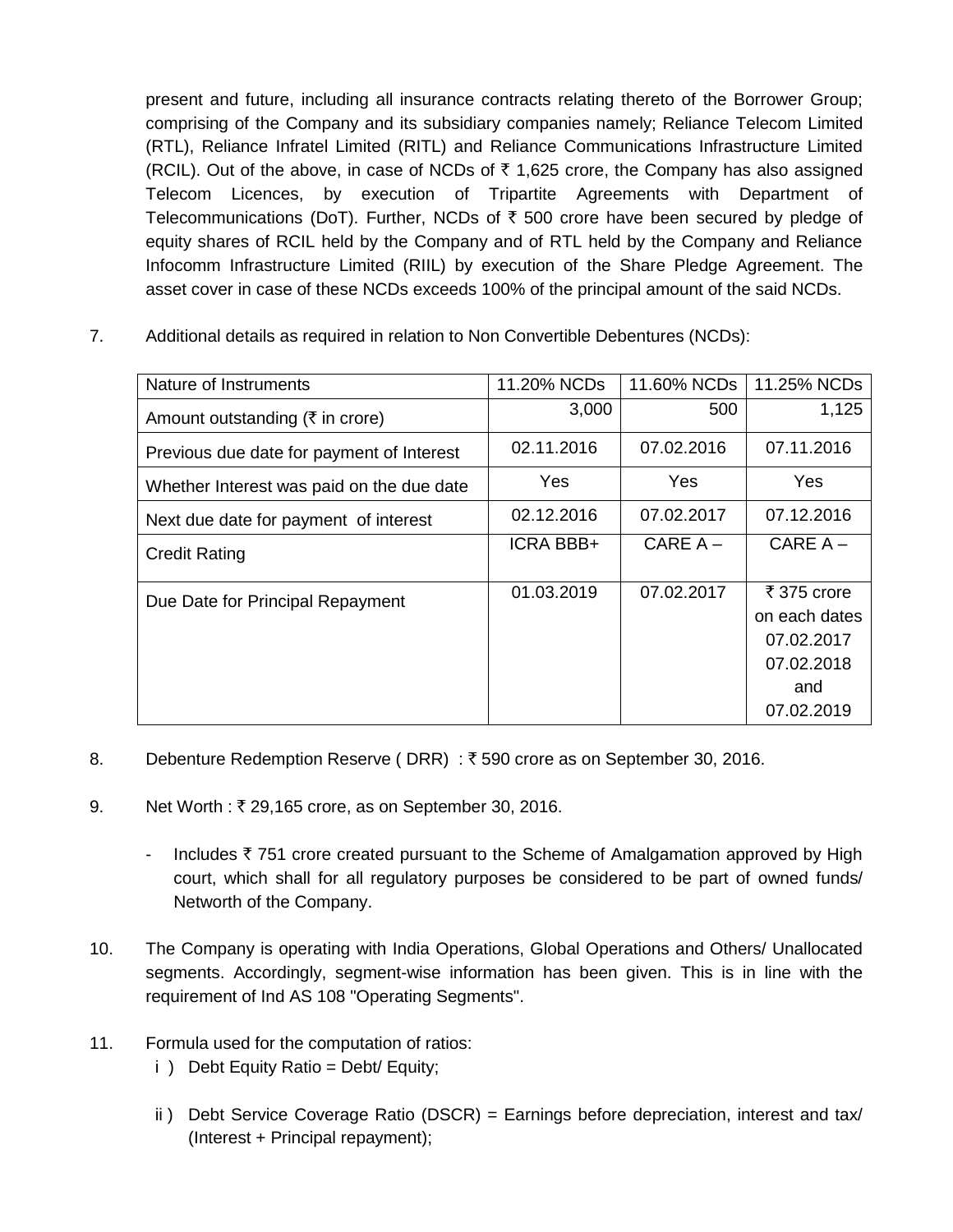present and future, including all insurance contracts relating thereto of the Borrower Group; comprising of the Company and its subsidiary companies namely; Reliance Telecom Limited (RTL), Reliance Infratel Limited (RITL) and Reliance Communications Infrastructure Limited (RCIL). Out of the above, in case of NCDs of  $\bar{\tau}$  1,625 crore, the Company has also assigned Telecom Licences, by execution of Tripartite Agreements with Department of Telecommunications (DoT). Further, NCDs of  $\bar{\tau}$  500 crore have been secured by pledge of equity shares of RCIL held by the Company and of RTL held by the Company and Reliance Infocomm Infrastructure Limited (RIIL) by execution of the Share Pledge Agreement. The asset cover in case of these NCDs exceeds 100% of the principal amount of the said NCDs.

7. Additional details as required in relation to Non Convertible Debentures (NCDs):

| Nature of Instruments                           | 11.20% NCDs      | 11.60% NCDs | 11.25% NCDs                                                                   |
|-------------------------------------------------|------------------|-------------|-------------------------------------------------------------------------------|
| Amount outstanding ( $\overline{\xi}$ in crore) | 3,000            | 500         | 1,125                                                                         |
| Previous due date for payment of Interest       | 02.11.2016       | 07.02.2016  | 07.11.2016                                                                    |
| Whether Interest was paid on the due date       | Yes              | Yes         | Yes                                                                           |
| Next due date for payment of interest           | 02.12.2016       | 07.02.2017  | 07.12.2016                                                                    |
| <b>Credit Rating</b>                            | <b>ICRA BBB+</b> | $CAREA -$   | $CAREA -$                                                                     |
| Due Date for Principal Repayment                | 01.03.2019       | 07.02.2017  | ₹ 375 crore<br>on each dates<br>07.02.2017<br>07.02.2018<br>and<br>07.02.2019 |

- 8. Debenture Redemption Reserve (DRR) : ₹590 crore as on September 30, 2016.
- 9. Net Worth :  $\overline{\tau}$  29,165 crore, as on September 30, 2016.
	- Includes  $\bar{\tau}$  751 crore created pursuant to the Scheme of Amalgamation approved by High court, which shall for all regulatory purposes be considered to be part of owned funds/ Networth of the Company.
- 10. The Company is operating with India Operations, Global Operations and Others/ Unallocated segments. Accordingly, segment-wise information has been given. This is in line with the requirement of Ind AS 108 "Operating Segments".
- 11. Formula used for the computation of ratios:
	- i ) Debt Equity Ratio = Debt/ Equity;
	- ii) Debt Service Coverage Ratio (DSCR) = Earnings before depreciation, interest and tax/ (Interest + Principal repayment);